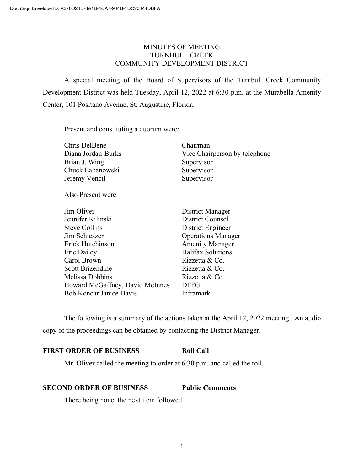# MINUTES OF MEETING TURNBULL CREEK COMMUNITY DEVELOPMENT DISTRICT

A special meeting of the Board of Supervisors of the Turnbull Creek Community Development District was held Tuesday, April 12, 2022 at 6:30 p.m. at the Murabella Amenity Center, 101 Positano Avenue, St. Augustine, Florida.

Present and constituting a quorum were:

| Chris DelBene                   | Chairman                      |
|---------------------------------|-------------------------------|
| Diana Jordan-Burks              | Vice Chairperson by telephone |
| Brian J. Wing                   | Supervisor                    |
| Chuck Labanowski                | Supervisor                    |
| Jeremy Vencil                   | Supervisor                    |
| Also Present were:              |                               |
| Jim Oliver                      | District Manager              |
| Jennifer Kilinski               | District Counsel              |
| Steve Collins                   | District Engineer             |
| Jim Schieszer                   | <b>Operations Manager</b>     |
| Erick Hutchinson                | <b>Amenity Manager</b>        |
| Eric Dailey                     | Halifax Solutions             |
| Carol Brown                     | Rizzetta & Co.                |
| Scott Brizendine                | Rizzetta & Co.                |
| Melissa Dobbins                 | Rizzetta & Co.                |
| Howard McGaffney, David McInnes | <b>DPFG</b>                   |
| <b>Bob Koncar Janice Davis</b>  | Inframark                     |
|                                 |                               |

The following is a summary of the actions taken at the April 12, 2022 meeting. An audio copy of the proceedings can be obtained by contacting the District Manager.

# **FIRST ORDER OF BUSINESS Roll Call**

Mr. Oliver called the meeting to order at 6:30 p.m. and called the roll.

## **SECOND ORDER OF BUSINESS Public Comments**

There being none, the next item followed.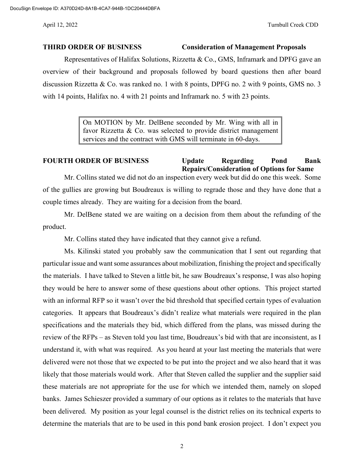### **THIRD ORDER OF BUSINESS Consideration of Management Proposals**

Representatives of Halifax Solutions, Rizzetta & Co., GMS, Inframark and DPFG gave an overview of their background and proposals followed by board questions then after board discussion Rizzetta & Co. was ranked no. 1 with 8 points, DPFG no. 2 with 9 points, GMS no. 3 with 14 points, Halifax no. 4 with 21 points and Inframark no. 5 with 23 points.

> On MOTION by Mr. DelBene seconded by Mr. Wing with all in favor Rizzetta & Co. was selected to provide district management services and the contract with GMS will terminate in 60-days.

# **FOURTH ORDER OF BUSINESS Update Regarding Pond Bank Repairs/Consideration of Options for Same**

Mr. Collins stated we did not do an inspection every week but did do one this week. Some of the gullies are growing but Boudreaux is willing to regrade those and they have done that a couple times already. They are waiting for a decision from the board.

Mr. DelBene stated we are waiting on a decision from them about the refunding of the product.

Mr. Collins stated they have indicated that they cannot give a refund.

Ms. Kilinski stated you probably saw the communication that I sent out regarding that particular issue and want some assurances about mobilization, finishing the project and specifically the materials. I have talked to Steven a little bit, he saw Boudreaux's response, I was also hoping they would be here to answer some of these questions about other options. This project started with an informal RFP so it wasn't over the bid threshold that specified certain types of evaluation categories. It appears that Boudreaux's didn't realize what materials were required in the plan specifications and the materials they bid, which differed from the plans, was missed during the review of the RFPs – as Steven told you last time, Boudreaux's bid with that are inconsistent, as I understand it, with what was required. As you heard at your last meeting the materials that were delivered were not those that we expected to be put into the project and we also heard that it was likely that those materials would work. After that Steven called the supplier and the supplier said these materials are not appropriate for the use for which we intended them, namely on sloped banks. James Schieszer provided a summary of our options as it relates to the materials that have been delivered. My position as your legal counsel is the district relies on its technical experts to determine the materials that are to be used in this pond bank erosion project. I don't expect you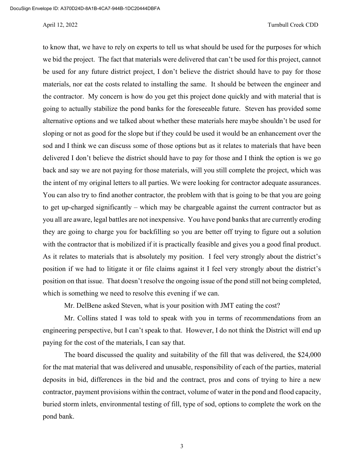### April 12, 2022 Turnbull Creek CDD

to know that, we have to rely on experts to tell us what should be used for the purposes for which we bid the project. The fact that materials were delivered that can't be used for this project, cannot be used for any future district project, I don't believe the district should have to pay for those materials, nor eat the costs related to installing the same. It should be between the engineer and the contractor. My concern is how do you get this project done quickly and with material that is going to actually stabilize the pond banks for the foreseeable future. Steven has provided some alternative options and we talked about whether these materials here maybe shouldn't be used for sloping or not as good for the slope but if they could be used it would be an enhancement over the sod and I think we can discuss some of those options but as it relates to materials that have been delivered I don't believe the district should have to pay for those and I think the option is we go back and say we are not paying for those materials, will you still complete the project, which was the intent of my original letters to all parties. We were looking for contractor adequate assurances. You can also try to find another contractor, the problem with that is going to be that you are going to get up-charged significantly – which may be chargeable against the current contractor but as you all are aware, legal battles are not inexpensive. You have pond banks that are currently eroding they are going to charge you for backfilling so you are better off trying to figure out a solution with the contractor that is mobilized if it is practically feasible and gives you a good final product. As it relates to materials that is absolutely my position. I feel very strongly about the district's position if we had to litigate it or file claims against it I feel very strongly about the district's position on that issue. That doesn't resolve the ongoing issue of the pond still not being completed, which is something we need to resolve this evening if we can.

Mr. DelBene asked Steven, what is your position with JMT eating the cost?

Mr. Collins stated I was told to speak with you in terms of recommendations from an engineering perspective, but I can't speak to that. However, I do not think the District will end up paying for the cost of the materials, I can say that.

The board discussed the quality and suitability of the fill that was delivered, the \$24,000 for the mat material that was delivered and unusable, responsibility of each of the parties, material deposits in bid, differences in the bid and the contract, pros and cons of trying to hire a new contractor, payment provisions within the contract, volume of water in the pond and flood capacity, buried storm inlets, environmental testing of fill, type of sod, options to complete the work on the pond bank.

3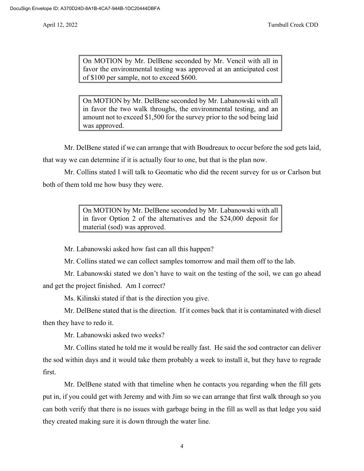On MOTION by Mr. DelBene seconded by Mr. Vencil with all in favor the environmental testing was approved at an anticipated cost of \$100 per sample, not to exceed \$600.

On MOTION by Mr. DelBene seconded by Mr. Labanowski with all in favor the two walk throughs, the environmental testing, and an amount not to exceed \$1,500 for the survey prior to the sod being laid was approved.

Mr. DelBene stated if we can arrange that with Boudreaux to occur before the sod gets laid, that way we can determine if it is actually four to one, but that is the plan now.

Mr. Collins stated I will talk to Geomatic who did the recent survey for us or Carlson but both of them told me how busy they were.

> On MOTION by Mr. DelBene seconded by Mr. Labanowski with all in favor Option 2 of the alternatives and the \$24,000 deposit for material (sod) was approved.

Mr. Labanowski asked how fast can all this happen?

Mr. Collins stated we can collect samples tomorrow and mail them off to the lab.

Mr. Labanowski stated we don't have to wait on the testing of the soil, we can go ahead and get the project finished. Am I correct?

Ms. Kilinski stated if that is the direction you give.

Mr. DelBene stated that is the direction. If it comes back that it is contaminated with diesel then they have to redo it.

Mr. Labanowski asked two weeks?

Mr. Collins stated he told me it would be really fast. He said the sod contractor can deliver the sod within days and it would take them probably a week to install it, but they have to regrade first.

Mr. DelBene stated with that timeline when he contacts you regarding when the fill gets put in, if you could get with Jeremy and with Jim so we can arrange that first walk through so you can both verify that there is no issues with garbage being in the fill as well as that ledge you said they created making sure it is down through the water line.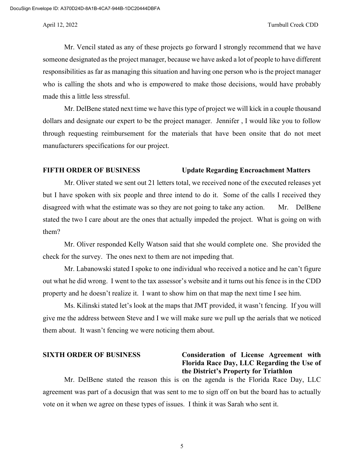#### April 12, 2022 Turnbull Creek CDD

Mr. Vencil stated as any of these projects go forward I strongly recommend that we have someone designated as the project manager, because we have asked a lot of people to have different responsibilities as far as managing this situation and having one person who is the project manager who is calling the shots and who is empowered to make those decisions, would have probably made this a little less stressful.

Mr. DelBene stated next time we have this type of project we will kick in a couple thousand dollars and designate our expert to be the project manager. Jennifer , I would like you to follow through requesting reimbursement for the materials that have been onsite that do not meet manufacturers specifications for our project.

### **FIFTH ORDER OF BUSINESS Update Regarding Encroachment Matters**

Mr. Oliver stated we sent out 21 letters total, we received none of the executed releases yet but I have spoken with six people and three intend to do it. Some of the calls I received they disagreed with what the estimate was so they are not going to take any action. Mr. DelBene stated the two I care about are the ones that actually impeded the project. What is going on with them?

Mr. Oliver responded Kelly Watson said that she would complete one. She provided the check for the survey. The ones next to them are not impeding that.

Mr. Labanowski stated I spoke to one individual who received a notice and he can't figure out what he did wrong. I went to the tax assessor's website and it turns out his fence is in the CDD property and he doesn't realize it. I want to show him on that map the next time I see him.

Ms. Kilinski stated let's look at the maps that JMT provided, it wasn't fencing. If you will give me the address between Steve and I we will make sure we pull up the aerials that we noticed them about. It wasn't fencing we were noticing them about.

# **SIXTH ORDER OF BUSINESS Consideration of License Agreement with Florida Race Day, LLC Regarding the Use of the District's Property for Triathlon**

Mr. DelBene stated the reason this is on the agenda is the Florida Race Day, LLC agreement was part of a docusign that was sent to me to sign off on but the board has to actually vote on it when we agree on these types of issues. I think it was Sarah who sent it.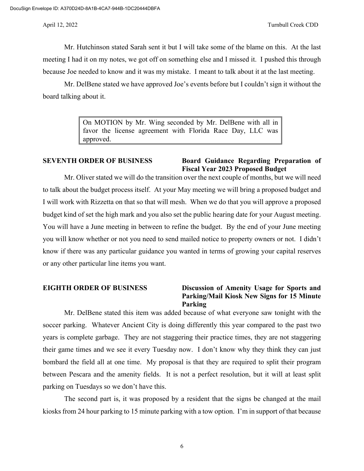Mr. Hutchinson stated Sarah sent it but I will take some of the blame on this. At the last meeting I had it on my notes, we got off on something else and I missed it. I pushed this through because Joe needed to know and it was my mistake. I meant to talk about it at the last meeting.

Mr. DelBene stated we have approved Joe's events before but I couldn't sign it without the board talking about it.

> On MOTION by Mr. Wing seconded by Mr. DelBene with all in favor the license agreement with Florida Race Day, LLC was approved.

## **SEVENTH ORDER OF BUSINESS Board Guidance Regarding Preparation of Fiscal Year 2023 Proposed Budget**

Mr. Oliver stated we will do the transition over the next couple of months, but we will need to talk about the budget process itself. At your May meeting we will bring a proposed budget and I will work with Rizzetta on that so that will mesh. When we do that you will approve a proposed budget kind of set the high mark and you also set the public hearing date for your August meeting. You will have a June meeting in between to refine the budget. By the end of your June meeting you will know whether or not you need to send mailed notice to property owners or not. I didn't know if there was any particular guidance you wanted in terms of growing your capital reserves or any other particular line items you want.

# **EIGHTH ORDER OF BUSINESS Discussion of Amenity Usage for Sports and Parking/Mail Kiosk New Signs for 15 Minute Parking**

Mr. DelBene stated this item was added because of what everyone saw tonight with the soccer parking. Whatever Ancient City is doing differently this year compared to the past two years is complete garbage. They are not staggering their practice times, they are not staggering their game times and we see it every Tuesday now. I don't know why they think they can just bombard the field all at one time. My proposal is that they are required to split their program between Pescara and the amenity fields. It is not a perfect resolution, but it will at least split parking on Tuesdays so we don't have this.

The second part is, it was proposed by a resident that the signs be changed at the mail kiosks from 24 hour parking to 15 minute parking with a tow option. I'm in support of that because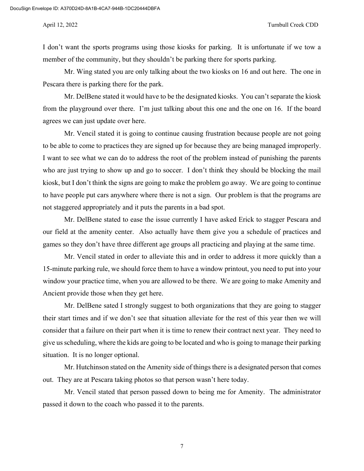DocuSign Envelope ID: A370D24D-8A1B-4CA7-944B-1DC20444DBFA

I don't want the sports programs using those kiosks for parking. It is unfortunate if we tow a member of the community, but they shouldn't be parking there for sports parking.

Mr. Wing stated you are only talking about the two kiosks on 16 and out here. The one in Pescara there is parking there for the park.

Mr. DelBene stated it would have to be the designated kiosks. You can't separate the kiosk from the playground over there. I'm just talking about this one and the one on 16. If the board agrees we can just update over here.

Mr. Vencil stated it is going to continue causing frustration because people are not going to be able to come to practices they are signed up for because they are being managed improperly. I want to see what we can do to address the root of the problem instead of punishing the parents who are just trying to show up and go to soccer. I don't think they should be blocking the mail kiosk, but I don't think the signs are going to make the problem go away. We are going to continue to have people put cars anywhere where there is not a sign. Our problem is that the programs are not staggered appropriately and it puts the parents in a bad spot.

Mr. DelBene stated to ease the issue currently I have asked Erick to stagger Pescara and our field at the amenity center. Also actually have them give you a schedule of practices and games so they don't have three different age groups all practicing and playing at the same time.

Mr. Vencil stated in order to alleviate this and in order to address it more quickly than a 15-minute parking rule, we should force them to have a window printout, you need to put into your window your practice time, when you are allowed to be there. We are going to make Amenity and Ancient provide those when they get here.

Mr. DelBene sated I strongly suggest to both organizations that they are going to stagger their start times and if we don't see that situation alleviate for the rest of this year then we will consider that a failure on their part when it is time to renew their contract next year. They need to give us scheduling, where the kids are going to be located and who is going to manage their parking situation. It is no longer optional.

Mr. Hutchinson stated on the Amenity side of things there is a designated person that comes out. They are at Pescara taking photos so that person wasn't here today.

Mr. Vencil stated that person passed down to being me for Amenity. The administrator passed it down to the coach who passed it to the parents.

7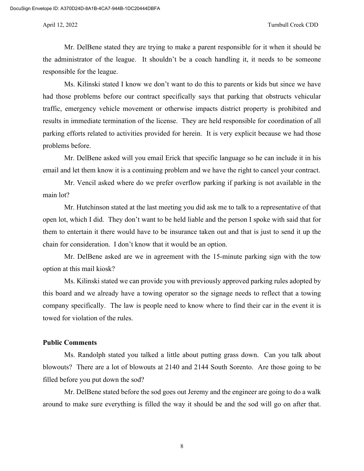### April 12, 2022 Turnbull Creek CDD

Mr. DelBene stated they are trying to make a parent responsible for it when it should be the administrator of the league. It shouldn't be a coach handling it, it needs to be someone responsible for the league.

Ms. Kilinski stated I know we don't want to do this to parents or kids but since we have had those problems before our contract specifically says that parking that obstructs vehicular traffic, emergency vehicle movement or otherwise impacts district property is prohibited and results in immediate termination of the license. They are held responsible for coordination of all parking efforts related to activities provided for herein. It is very explicit because we had those problems before.

Mr. DelBene asked will you email Erick that specific language so he can include it in his email and let them know it is a continuing problem and we have the right to cancel your contract.

Mr. Vencil asked where do we prefer overflow parking if parking is not available in the main lot?

Mr. Hutchinson stated at the last meeting you did ask me to talk to a representative of that open lot, which I did. They don't want to be held liable and the person I spoke with said that for them to entertain it there would have to be insurance taken out and that is just to send it up the chain for consideration. I don't know that it would be an option.

Mr. DelBene asked are we in agreement with the 15-minute parking sign with the tow option at this mail kiosk?

Ms. Kilinski stated we can provide you with previously approved parking rules adopted by this board and we already have a towing operator so the signage needs to reflect that a towing company specifically. The law is people need to know where to find their car in the event it is towed for violation of the rules.

### **Public Comments**

Ms. Randolph stated you talked a little about putting grass down. Can you talk about blowouts? There are a lot of blowouts at 2140 and 2144 South Sorento. Are those going to be filled before you put down the sod?

Mr. DelBene stated before the sod goes out Jeremy and the engineer are going to do a walk around to make sure everything is filled the way it should be and the sod will go on after that.

8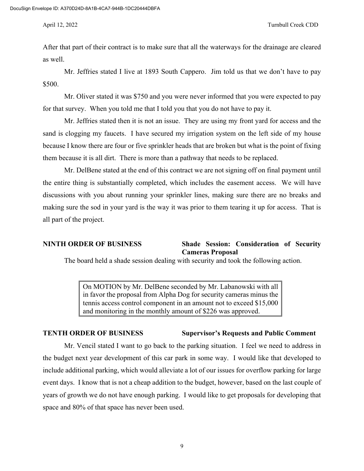After that part of their contract is to make sure that all the waterways for the drainage are cleared as well.

Mr. Jeffries stated I live at 1893 South Cappero. Jim told us that we don't have to pay \$500.

Mr. Oliver stated it was \$750 and you were never informed that you were expected to pay for that survey. When you told me that I told you that you do not have to pay it.

Mr. Jeffries stated then it is not an issue. They are using my front yard for access and the sand is clogging my faucets. I have secured my irrigation system on the left side of my house because I know there are four or five sprinkler heads that are broken but what is the point of fixing them because it is all dirt. There is more than a pathway that needs to be replaced.

Mr. DelBene stated at the end of this contract we are not signing off on final payment until the entire thing is substantially completed, which includes the easement access. We will have discussions with you about running your sprinkler lines, making sure there are no breaks and making sure the sod in your yard is the way it was prior to them tearing it up for access. That is all part of the project.

# **NINTH ORDER OF BUSINESS Shade Session: Consideration of Security Cameras Proposal**

The board held a shade session dealing with security and took the following action.

On MOTION by Mr. DelBene seconded by Mr. Labanowski with all in favor the proposal from Alpha Dog for security cameras minus the tennis access control component in an amount not to exceed \$15,000 and monitoring in the monthly amount of \$226 was approved.

## **TENTH ORDER OF BUSINESS Supervisor's Requests and Public Comment**

Mr. Vencil stated I want to go back to the parking situation. I feel we need to address in the budget next year development of this car park in some way. I would like that developed to include additional parking, which would alleviate a lot of our issues for overflow parking for large event days. I know that is not a cheap addition to the budget, however, based on the last couple of years of growth we do not have enough parking. I would like to get proposals for developing that space and 80% of that space has never been used.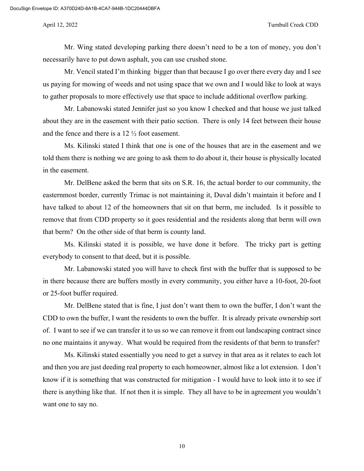Mr. Wing stated developing parking there doesn't need to be a ton of money, you don't necessarily have to put down asphalt, you can use crushed stone.

Mr. Vencil stated I'm thinking bigger than that because I go over there every day and I see us paying for mowing of weeds and not using space that we own and I would like to look at ways to gather proposals to more effectively use that space to include additional overflow parking.

Mr. Labanowski stated Jennifer just so you know I checked and that house we just talked about they are in the easement with their patio section. There is only 14 feet between their house and the fence and there is a 12 ½ foot easement.

Ms. Kilinski stated I think that one is one of the houses that are in the easement and we told them there is nothing we are going to ask them to do about it, their house is physically located in the easement.

Mr. DelBene asked the berm that sits on S.R. 16, the actual border to our community, the easternmost border, currently Trimac is not maintaining it, Duval didn't maintain it before and I have talked to about 12 of the homeowners that sit on that berm, me included. Is it possible to remove that from CDD property so it goes residential and the residents along that berm will own that berm? On the other side of that berm is county land.

Ms. Kilinski stated it is possible, we have done it before. The tricky part is getting everybody to consent to that deed, but it is possible.

Mr. Labanowski stated you will have to check first with the buffer that is supposed to be in there because there are buffers mostly in every community, you either have a 10-foot, 20-foot or 25-foot buffer required.

Mr. DelBene stated that is fine, I just don't want them to own the buffer, I don't want the CDD to own the buffer, I want the residents to own the buffer. It is already private ownership sort of. I want to see if we can transfer it to us so we can remove it from out landscaping contract since no one maintains it anyway. What would be required from the residents of that berm to transfer?

Ms. Kilinski stated essentially you need to get a survey in that area as it relates to each lot and then you are just deeding real property to each homeowner, almost like a lot extension. I don't know if it is something that was constructed for mitigation - I would have to look into it to see if there is anything like that. If not then it is simple. They all have to be in agreement you wouldn't want one to say no.